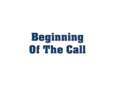## Beginning Of The Call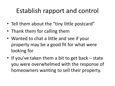## Establish rapport and control

- Tell them about the "tiny little postcard"
- Thank them for calling them
- Wanted to chat a little and see if your property may be a good fit for what were looking for
- If you've taken them a bit to get back state you were overwhelmed with the response of homeowners wanting to sell their property.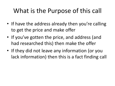## What is the Purpose of this call

- If have the address already then you're calling to get the price and make offer
- If you've gotten the price, and address (and had researched this) then make the offer
- If they did not leave any information (or you lack information) then this is a fact finding call